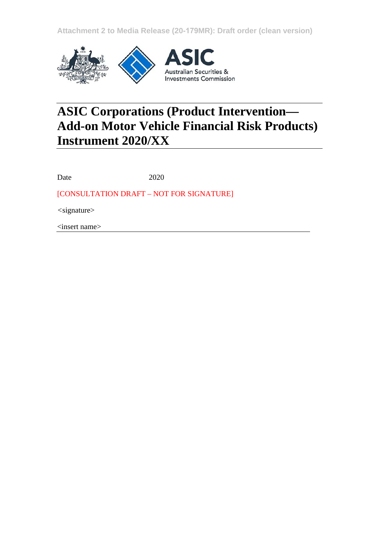**Attachment 2 to Media Release (20-179MR): Draft order (clean version)**



# **ASIC Corporations (Product Intervention— Add-on Motor Vehicle Financial Risk Products) Instrument 2020/XX**

Date 2020

[CONSULTATION DRAFT – NOT FOR SIGNATURE]

*<*signature>

<insert name>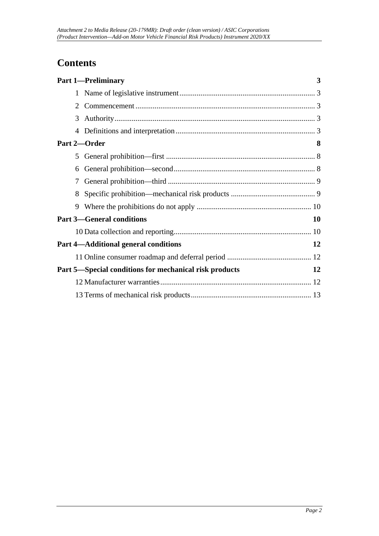# **Contents**

|   | <b>Part 1-Preliminary</b>                              | 3  |
|---|--------------------------------------------------------|----|
|   |                                                        |    |
| 2 |                                                        |    |
| 3 |                                                        |    |
| 4 |                                                        |    |
|   | Part 2-Order                                           | 8  |
| 5 |                                                        |    |
| 6 |                                                        |    |
| 7 |                                                        |    |
| 8 |                                                        |    |
| 9 |                                                        |    |
|   | <b>Part 3-General conditions</b>                       | 10 |
|   |                                                        |    |
|   | <b>Part 4—Additional general conditions</b>            | 12 |
|   |                                                        |    |
|   | Part 5—Special conditions for mechanical risk products | 12 |
|   |                                                        |    |
|   |                                                        |    |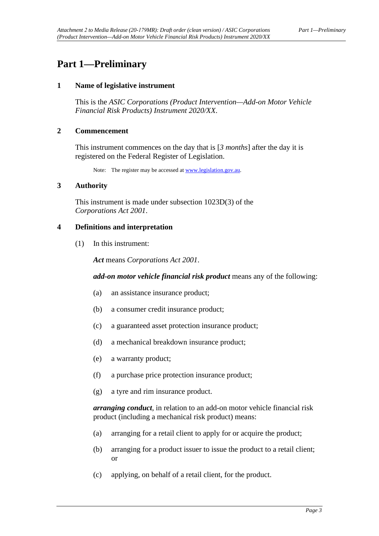# <span id="page-2-1"></span><span id="page-2-0"></span>**Part 1—Preliminary**

#### **1 Name of legislative instrument**

This is the *ASIC Corporations (Product Intervention—Add-on Motor Vehicle Financial Risk Products) Instrument 2020/XX*.

#### <span id="page-2-2"></span>**2 Commencement**

This instrument commences on the day that is [*3 months*] after the day it is registered on the Federal Register of Legislation.

Note: The register may be accessed a[t www.legislation.gov.au.](http://www.legislation.gov.au/)

#### <span id="page-2-3"></span>**3 Authority**

This instrument is made under subsection 1023D(3) of the *Corporations Act 2001*.

#### <span id="page-2-4"></span>**4 Definitions and interpretation**

(1) In this instrument:

*Act* means *Corporations Act 2001*.

#### *add-on motor vehicle financial risk product* means any of the following:

- (a) an assistance insurance product;
- (b) a consumer credit insurance product;
- (c) a guaranteed asset protection insurance product;
- (d) a mechanical breakdown insurance product;
- (e) a warranty product;
- (f) a purchase price protection insurance product;
- (g) a tyre and rim insurance product.

*arranging conduct*, in relation to an add-on motor vehicle financial risk product (including a mechanical risk product) means:

- (a) arranging for a retail client to apply for or acquire the product;
- (b) arranging for a product issuer to issue the product to a retail client; or
- (c) applying, on behalf of a retail client, for the product.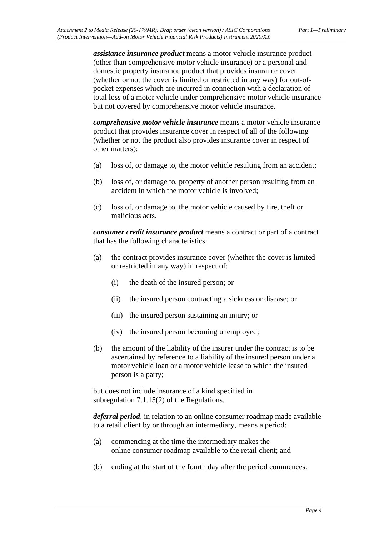*assistance insurance product* means a motor vehicle insurance product (other than comprehensive motor vehicle insurance) or a personal and domestic property insurance product that provides insurance cover (whether or not the cover is limited or restricted in any way) for out-ofpocket expenses which are incurred in connection with a declaration of total loss of a motor vehicle under comprehensive motor vehicle insurance but not covered by comprehensive motor vehicle insurance.

*comprehensive motor vehicle insurance* means a motor vehicle insurance product that provides insurance cover in respect of all of the following (whether or not the product also provides insurance cover in respect of other matters):

- (a) loss of, or damage to, the motor vehicle resulting from an accident;
- (b) loss of, or damage to, property of another person resulting from an accident in which the motor vehicle is involved;
- (c) loss of, or damage to, the motor vehicle caused by fire, theft or malicious acts.

*consumer credit insurance product* means a contract or part of a contract that has the following characteristics:

- (a) the contract provides insurance cover (whether the cover is limited or restricted in any way) in respect of:
	- (i) the death of the insured person; or
	- (ii) the insured person contracting a sickness or disease; or
	- (iii) the insured person sustaining an injury; or
	- (iv) the insured person becoming unemployed;
- (b) the amount of the liability of the insurer under the contract is to be ascertained by reference to a liability of the insured person under a motor vehicle loan or a motor vehicle lease to which the insured person is a party;

but does not include insurance of a kind specified in subregulation 7.1.15(2) of the Regulations.

*deferral period*, in relation to an online consumer roadmap made available to a retail client by or through an intermediary, means a period:

- (a) commencing at the time the intermediary makes the online consumer roadmap available to the retail client; and
- (b) ending at the start of the fourth day after the period commences.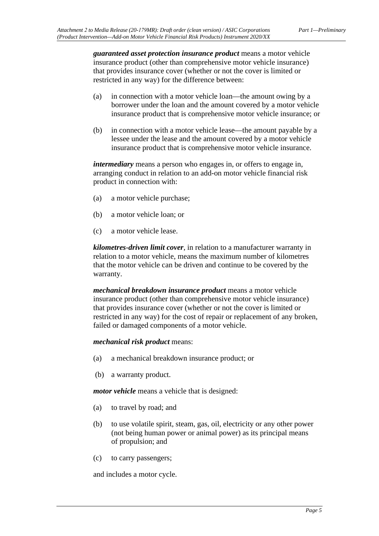*guaranteed asset protection insurance product* means a motor vehicle insurance product (other than comprehensive motor vehicle insurance) that provides insurance cover (whether or not the cover is limited or restricted in any way) for the difference between:

- (a) in connection with a motor vehicle loan—the amount owing by a borrower under the loan and the amount covered by a motor vehicle insurance product that is comprehensive motor vehicle insurance; or
- (b) in connection with a motor vehicle lease—the amount payable by a lessee under the lease and the amount covered by a motor vehicle insurance product that is comprehensive motor vehicle insurance.

*intermediary* means a person who engages in, or offers to engage in, arranging conduct in relation to an add-on motor vehicle financial risk product in connection with:

- (a) a motor vehicle purchase;
- (b) a motor vehicle loan; or
- (c) a motor vehicle lease.

*kilometres-driven limit cover*, in relation to a manufacturer warranty in relation to a motor vehicle, means the maximum number of kilometres that the motor vehicle can be driven and continue to be covered by the warranty.

*mechanical breakdown insurance product* means a motor vehicle insurance product (other than comprehensive motor vehicle insurance) that provides insurance cover (whether or not the cover is limited or restricted in any way) for the cost of repair or replacement of any broken, failed or damaged components of a motor vehicle.

#### *mechanical risk product* means:

- (a) a mechanical breakdown insurance product; or
- (b) a warranty product.

*motor vehicle* means a vehicle that is designed:

- (a) to travel by road; and
- (b) to use volatile spirit, steam, gas, oil, electricity or any other power (not being human power or animal power) as its principal means of propulsion; and
- (c) to carry passengers;

and includes a motor cycle.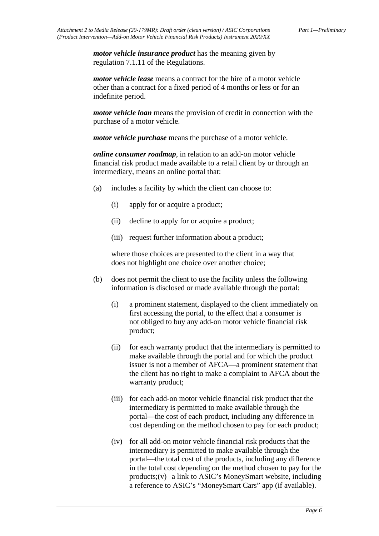*motor vehicle insurance product* has the meaning given by regulation 7.1.11 of the Regulations.

*motor vehicle lease* means a contract for the hire of a motor vehicle other than a contract for a fixed period of 4 months or less or for an indefinite period.

*motor vehicle loan* means the provision of credit in connection with the purchase of a motor vehicle.

*motor vehicle purchase* means the purchase of a motor vehicle.

*online consumer roadmap*, in relation to an add-on motor vehicle financial risk product made available to a retail client by or through an intermediary, means an online portal that:

- (a) includes a facility by which the client can choose to:
	- (i) apply for or acquire a product;
	- (ii) decline to apply for or acquire a product;
	- (iii) request further information about a product;

where those choices are presented to the client in a way that does not highlight one choice over another choice;

- (b) does not permit the client to use the facility unless the following information is disclosed or made available through the portal:
	- (i) a prominent statement, displayed to the client immediately on first accessing the portal, to the effect that a consumer is not obliged to buy any add-on motor vehicle financial risk product;
	- (ii) for each warranty product that the intermediary is permitted to make available through the portal and for which the product issuer is not a member of AFCA—a prominent statement that the client has no right to make a complaint to AFCA about the warranty product;
	- (iii) for each add-on motor vehicle financial risk product that the intermediary is permitted to make available through the portal—the cost of each product, including any difference in cost depending on the method chosen to pay for each product;
	- (iv) for all add-on motor vehicle financial risk products that the intermediary is permitted to make available through the portal—the total cost of the products, including any difference in the total cost depending on the method chosen to pay for the products;(v) a link to ASIC's MoneySmart website, including a reference to ASIC's "MoneySmart Cars" app (if available).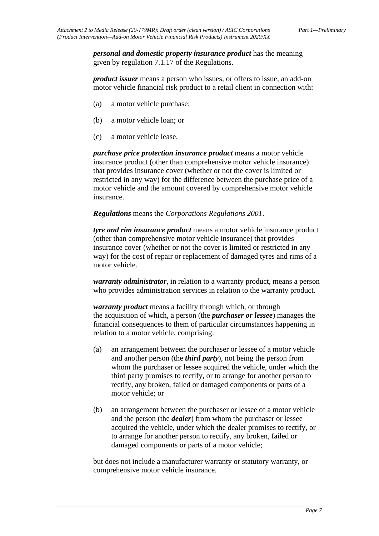*personal and domestic property insurance product* has the meaning given by regulation 7.1.17 of the Regulations.

*product issuer* means a person who issues, or offers to issue, an add-on motor vehicle financial risk product to a retail client in connection with:

- (a) a motor vehicle purchase;
- (b) a motor vehicle loan; or
- (c) a motor vehicle lease.

*purchase price protection insurance product* means a motor vehicle insurance product (other than comprehensive motor vehicle insurance) that provides insurance cover (whether or not the cover is limited or restricted in any way) for the difference between the purchase price of a motor vehicle and the amount covered by comprehensive motor vehicle insurance.

*Regulations* means the *Corporations Regulations 2001*.

*tyre and rim insurance product* means a motor vehicle insurance product (other than comprehensive motor vehicle insurance) that provides insurance cover (whether or not the cover is limited or restricted in any way) for the cost of repair or replacement of damaged tyres and rims of a motor vehicle.

*warranty administrator*, in relation to a warranty product, means a person who provides administration services in relation to the warranty product.

*warranty product* means a facility through which, or through the acquisition of which, a person (the *purchaser or lessee*) manages the financial consequences to them of particular circumstances happening in relation to a motor vehicle, comprising:

- (a) an arrangement between the purchaser or lessee of a motor vehicle and another person (the *third party*), not being the person from whom the purchaser or lessee acquired the vehicle, under which the third party promises to rectify, or to arrange for another person to rectify, any broken, failed or damaged components or parts of a motor vehicle; or
- (b) an arrangement between the purchaser or lessee of a motor vehicle and the person (the *dealer*) from whom the purchaser or lessee acquired the vehicle, under which the dealer promises to rectify, or to arrange for another person to rectify, any broken, failed or damaged components or parts of a motor vehicle;

but does not include a manufacturer warranty or statutory warranty, or comprehensive motor vehicle insurance.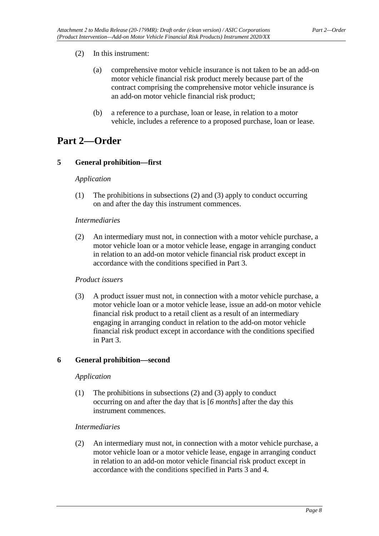# (2) In this instrument:

- (a) comprehensive motor vehicle insurance is not taken to be an add-on motor vehicle financial risk product merely because part of the contract comprising the comprehensive motor vehicle insurance is an add-on motor vehicle financial risk product;
- (b) a reference to a purchase, loan or lease, in relation to a motor vehicle, includes a reference to a proposed purchase, loan or lease.

# <span id="page-7-1"></span><span id="page-7-0"></span>**Part 2—Order**

# **5 General prohibition—first**

### *Application*

(1) The prohibitions in subsections (2) and (3) apply to conduct occurring on and after the day this instrument commences.

### *Intermediaries*

(2) An intermediary must not, in connection with a motor vehicle purchase, a motor vehicle loan or a motor vehicle lease, engage in arranging conduct in relation to an add-on motor vehicle financial risk product except in accordance with the conditions specified in Part 3.

# *Product issuers*

(3) A product issuer must not, in connection with a motor vehicle purchase, a motor vehicle loan or a motor vehicle lease, issue an add-on motor vehicle financial risk product to a retail client as a result of an intermediary engaging in arranging conduct in relation to the add-on motor vehicle financial risk product except in accordance with the conditions specified in Part 3.

# <span id="page-7-2"></span>**6 General prohibition—second**

#### *Application*

(1) The prohibitions in subsections (2) and (3) apply to conduct occurring on and after the day that is [*6 months*] after the day this instrument commences.

#### *Intermediaries*

(2) An intermediary must not, in connection with a motor vehicle purchase, a motor vehicle loan or a motor vehicle lease, engage in arranging conduct in relation to an add-on motor vehicle financial risk product except in accordance with the conditions specified in Parts 3 and 4.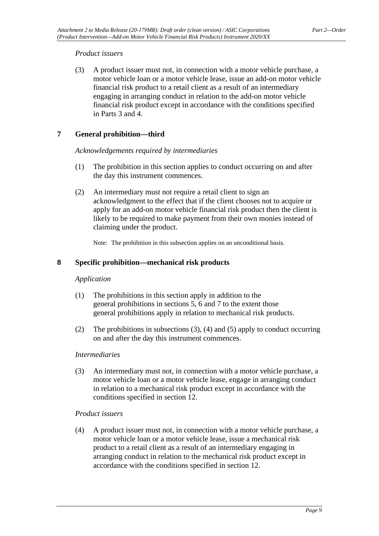### *Product issuers*

(3) A product issuer must not, in connection with a motor vehicle purchase, a motor vehicle loan or a motor vehicle lease, issue an add-on motor vehicle financial risk product to a retail client as a result of an intermediary engaging in arranging conduct in relation to the add-on motor vehicle financial risk product except in accordance with the conditions specified in Parts 3 and 4.

### <span id="page-8-0"></span>**7 General prohibition—third**

#### *Acknowledgements required by intermediaries*

- (1) The prohibition in this section applies to conduct occurring on and after the day this instrument commences.
- (2) An intermediary must not require a retail client to sign an acknowledgment to the effect that if the client chooses not to acquire or apply for an add-on motor vehicle financial risk product then the client is likely to be required to make payment from their own monies instead of claiming under the product.

Note: The prohibition in this subsection applies on an unconditional basis.

#### <span id="page-8-1"></span>**8 Specific prohibition—mechanical risk products**

#### *Application*

- (1) The prohibitions in this section apply in addition to the general prohibitions in sections 5, 6 and 7 to the extent those general prohibitions apply in relation to mechanical risk products.
- (2) The prohibitions in subsections (3), (4) and (5) apply to conduct occurring on and after the day this instrument commences.

#### *Intermediaries*

(3) An intermediary must not, in connection with a motor vehicle purchase, a motor vehicle loan or a motor vehicle lease, engage in arranging conduct in relation to a mechanical risk product except in accordance with the conditions specified in section 12.

#### *Product issuers*

(4) A product issuer must not, in connection with a motor vehicle purchase, a motor vehicle loan or a motor vehicle lease, issue a mechanical risk product to a retail client as a result of an intermediary engaging in arranging conduct in relation to the mechanical risk product except in accordance with the conditions specified in section 12.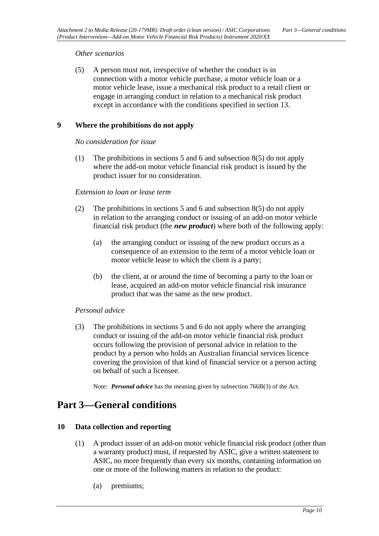#### *Other scenarios*

(5) A person must not, irrespective of whether the conduct is in connection with a motor vehicle purchase, a motor vehicle loan or a motor vehicle lease, issue a mechanical risk product to a retail client or engage in arranging conduct in relation to a mechanical risk product except in accordance with the conditions specified in section 13.

### <span id="page-9-0"></span>**9 Where the prohibitions do not apply**

#### *No consideration for issue*

(1) The prohibitions in sections 5 and 6 and subsection 8(5) do not apply where the add-on motor vehicle financial risk product is issued by the product issuer for no consideration.

#### *Extension to loan or lease term*

- (2) The prohibitions in sections 5 and 6 and subsection 8(5) do not apply in relation to the arranging conduct or issuing of an add-on motor vehicle financial risk product (the *new product*) where both of the following apply:
	- (a) the arranging conduct or issuing of the new product occurs as a consequence of an extension to the term of a motor vehicle loan or motor vehicle lease to which the client is a party;
	- (b) the client, at or around the time of becoming a party to the loan or lease, acquired an add-on motor vehicle financial risk insurance product that was the same as the new product.

#### *Personal advice*

(3) The prohibitions in sections 5 and 6 do not apply where the arranging conduct or issuing of the add-on motor vehicle financial risk product occurs following the provision of personal advice in relation to the product by a person who holds an Australian financial services licence covering the provision of that kind of financial service or a person acting on behalf of such a licensee.

Note: *Personal advice* has the meaning given by subsection 766B(3) of the Act.

# <span id="page-9-2"></span><span id="page-9-1"></span>**Part 3—General conditions**

#### **10 Data collection and reporting**

- (1) A product issuer of an add-on motor vehicle financial risk product (other than a warranty product) must, if requested by ASIC, give a written statement to ASIC, no more frequently than every six months, containing information on one or more of the following matters in relation to the product:
	- (a) premiums;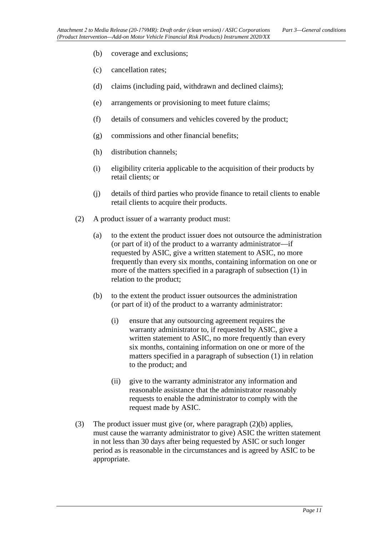- (b) coverage and exclusions;
- (c) cancellation rates;
- (d) claims (including paid, withdrawn and declined claims);
- (e) arrangements or provisioning to meet future claims;
- (f) details of consumers and vehicles covered by the product;
- (g) commissions and other financial benefits;
- (h) distribution channels;
- (i) eligibility criteria applicable to the acquisition of their products by retail clients; or
- (j) details of third parties who provide finance to retail clients to enable retail clients to acquire their products.
- (2) A product issuer of a warranty product must:
	- (a) to the extent the product issuer does not outsource the administration (or part of it) of the product to a warranty administrator—if requested by ASIC, give a written statement to ASIC, no more frequently than every six months, containing information on one or more of the matters specified in a paragraph of subsection (1) in relation to the product;
	- (b) to the extent the product issuer outsources the administration (or part of it) of the product to a warranty administrator:
		- (i) ensure that any outsourcing agreement requires the warranty administrator to, if requested by ASIC, give a written statement to ASIC, no more frequently than every six months, containing information on one or more of the matters specified in a paragraph of subsection (1) in relation to the product; and
		- (ii) give to the warranty administrator any information and reasonable assistance that the administrator reasonably requests to enable the administrator to comply with the request made by ASIC.
- (3) The product issuer must give (or, where paragraph (2)(b) applies, must cause the warranty administrator to give) ASIC the written statement in not less than 30 days after being requested by ASIC or such longer period as is reasonable in the circumstances and is agreed by ASIC to be appropriate.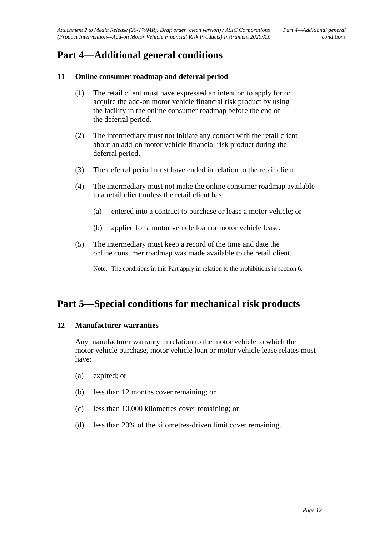# <span id="page-11-1"></span><span id="page-11-0"></span>**Part 4—Additional general conditions**

### **11 Online consumer roadmap and deferral period**

- (1) The retail client must have expressed an intention to apply for or acquire the add-on motor vehicle financial risk product by using the facility in the online consumer roadmap before the end of the deferral period.
- (2) The intermediary must not initiate any contact with the retail client about an add-on motor vehicle financial risk product during the deferral period.
- (3) The deferral period must have ended in relation to the retail client.
- (4) The intermediary must not make the online consumer roadmap available to a retail client unless the retail client has:
	- (a) entered into a contract to purchase or lease a motor vehicle; or
	- (b) applied for a motor vehicle loan or motor vehicle lease.
- (5) The intermediary must keep a record of the time and date the online consumer roadmap was made available to the retail client.

Note: The conditions in this Part apply in relation to the prohibitions in section 6.

# <span id="page-11-3"></span><span id="page-11-2"></span>**Part 5—Special conditions for mechanical risk products**

#### **12 Manufacturer warranties**

Any manufacturer warranty in relation to the motor vehicle to which the motor vehicle purchase, motor vehicle loan or motor vehicle lease relates must have:

- (a) expired; or
- (b) less than 12 months cover remaining; or
- (c) less than 10,000 kilometres cover remaining; or
- (d) less than 20% of the kilometres-driven limit cover remaining.